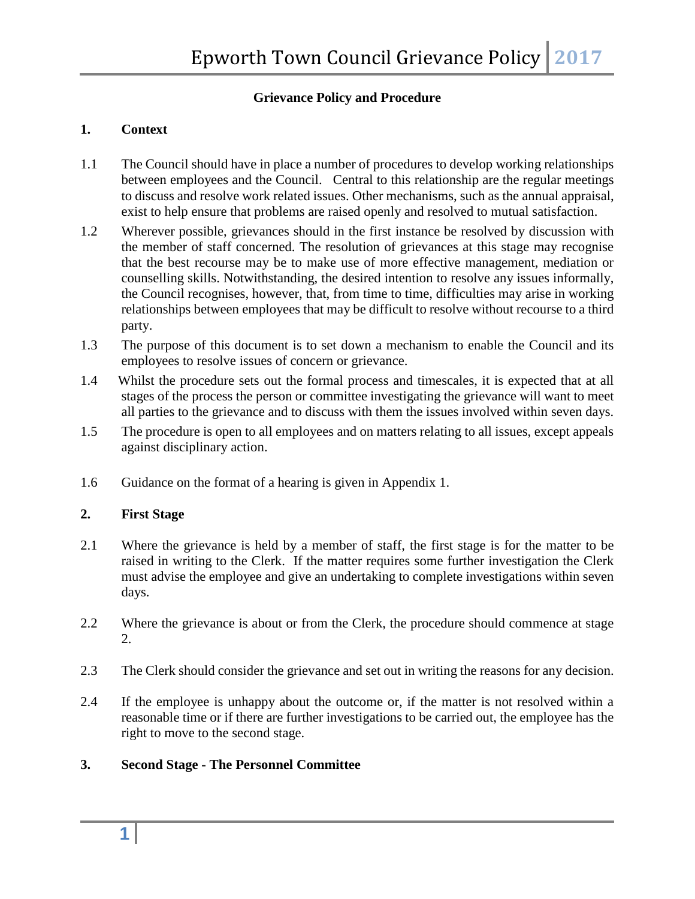## **Grievance Policy and Procedure**

## **1. Context**

- 1.1 The Council should have in place a number of procedures to develop working relationships between employees and the Council. Central to this relationship are the regular meetings to discuss and resolve work related issues. Other mechanisms, such as the annual appraisal, exist to help ensure that problems are raised openly and resolved to mutual satisfaction.
- 1.2 Wherever possible, grievances should in the first instance be resolved by discussion with the member of staff concerned. The resolution of grievances at this stage may recognise that the best recourse may be to make use of more effective management, mediation or counselling skills. Notwithstanding, the desired intention to resolve any issues informally, the Council recognises, however, that, from time to time, difficulties may arise in working relationships between employees that may be difficult to resolve without recourse to a third party.
- 1.3 The purpose of this document is to set down a mechanism to enable the Council and its employees to resolve issues of concern or grievance.
- 1.4 Whilst the procedure sets out the formal process and timescales, it is expected that at all stages of the process the person or committee investigating the grievance will want to meet all parties to the grievance and to discuss with them the issues involved within seven days.
- 1.5 The procedure is open to all employees and on matters relating to all issues, except appeals against disciplinary action.
- 1.6 Guidance on the format of a hearing is given in Appendix 1.

## **2. First Stage**

- 2.1 Where the grievance is held by a member of staff, the first stage is for the matter to be raised in writing to the Clerk. If the matter requires some further investigation the Clerk must advise the employee and give an undertaking to complete investigations within seven days.
- 2.2 Where the grievance is about or from the Clerk, the procedure should commence at stage 2.
- 2.3 The Clerk should consider the grievance and set out in writing the reasons for any decision.
- 2.4 If the employee is unhappy about the outcome or, if the matter is not resolved within a reasonable time or if there are further investigations to be carried out, the employee has the right to move to the second stage.

## **3. Second Stage - The Personnel Committee**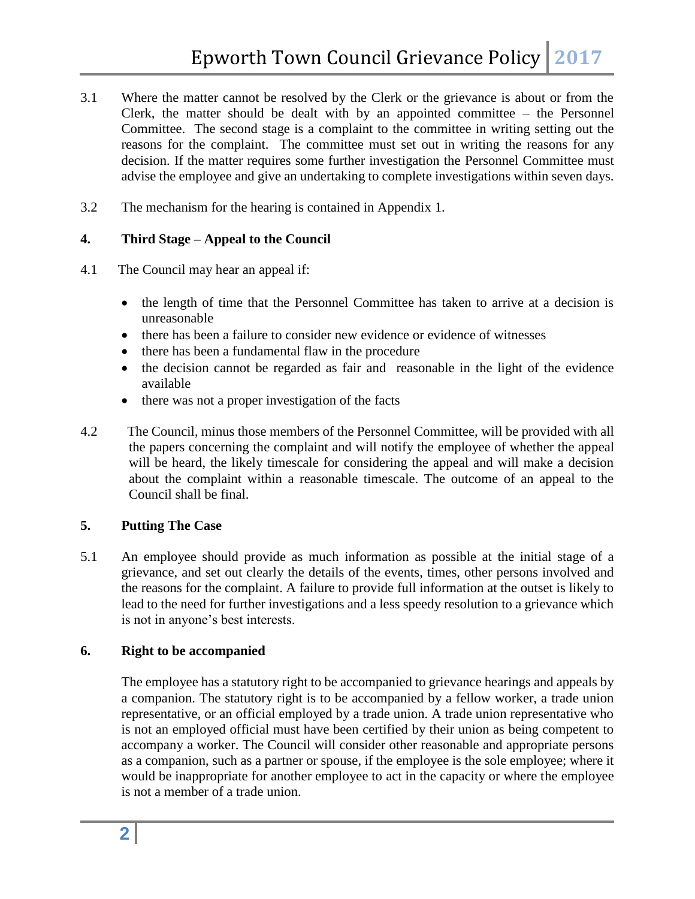- 3.1 Where the matter cannot be resolved by the Clerk or the grievance is about or from the Clerk, the matter should be dealt with by an appointed committee – the Personnel Committee. The second stage is a complaint to the committee in writing setting out the reasons for the complaint. The committee must set out in writing the reasons for any decision. If the matter requires some further investigation the Personnel Committee must advise the employee and give an undertaking to complete investigations within seven days.
- 3.2 The mechanism for the hearing is contained in Appendix 1.

### **4. Third Stage – Appeal to the Council**

- 4.1 The Council may hear an appeal if:
	- the length of time that the Personnel Committee has taken to arrive at a decision is unreasonable
	- there has been a failure to consider new evidence or evidence of witnesses
	- there has been a fundamental flaw in the procedure
	- the decision cannot be regarded as fair and reasonable in the light of the evidence available
	- there was not a proper investigation of the facts
- 4.2 The Council, minus those members of the Personnel Committee, will be provided with all the papers concerning the complaint and will notify the employee of whether the appeal will be heard, the likely timescale for considering the appeal and will make a decision about the complaint within a reasonable timescale. The outcome of an appeal to the Council shall be final.

#### **5. Putting The Case**

5.1 An employee should provide as much information as possible at the initial stage of a grievance, and set out clearly the details of the events, times, other persons involved and the reasons for the complaint. A failure to provide full information at the outset is likely to lead to the need for further investigations and a less speedy resolution to a grievance which is not in anyone's best interests.

#### **6. Right to be accompanied**

The employee has a statutory right to be accompanied to grievance hearings and appeals by a companion. The statutory right is to be accompanied by a fellow worker, a trade union representative, or an official employed by a trade union. A trade union representative who is not an employed official must have been certified by their union as being competent to accompany a worker. The Council will consider other reasonable and appropriate persons as a companion, such as a partner or spouse, if the employee is the sole employee; where it would be inappropriate for another employee to act in the capacity or where the employee is not a member of a trade union.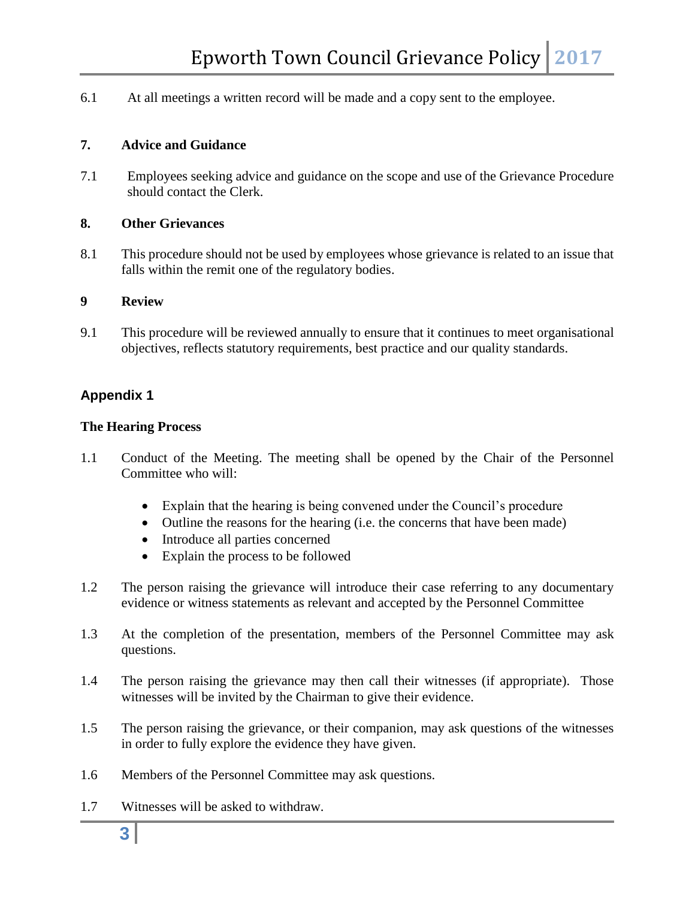6.1 At all meetings a written record will be made and a copy sent to the employee.

### **7. Advice and Guidance**

7.1 Employees seeking advice and guidance on the scope and use of the Grievance Procedure should contact the Clerk.

### **8. Other Grievances**

8.1 This procedure should not be used by employees whose grievance is related to an issue that falls within the remit one of the regulatory bodies.

#### **9 Review**

9.1 This procedure will be reviewed annually to ensure that it continues to meet organisational objectives, reflects statutory requirements, best practice and our quality standards.

# **Appendix 1**

### **The Hearing Process**

- 1.1 Conduct of the Meeting. The meeting shall be opened by the Chair of the Personnel Committee who will:
	- Explain that the hearing is being convened under the Council's procedure
	- Outline the reasons for the hearing (i.e. the concerns that have been made)
	- Introduce all parties concerned
	- Explain the process to be followed
- 1.2 The person raising the grievance will introduce their case referring to any documentary evidence or witness statements as relevant and accepted by the Personnel Committee
- 1.3 At the completion of the presentation, members of the Personnel Committee may ask questions.
- 1.4 The person raising the grievance may then call their witnesses (if appropriate). Those witnesses will be invited by the Chairman to give their evidence.
- 1.5 The person raising the grievance, or their companion, may ask questions of the witnesses in order to fully explore the evidence they have given.
- 1.6 Members of the Personnel Committee may ask questions.
- 1.7 Witnesses will be asked to withdraw.